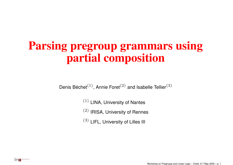## **Parsing pregroup grammars using partial composition**

Denis Béchet $^{(1)},$  Annie Foret $^{(2)}$  and Isabelle Tellier $^{(3)}$ 

 $(1)$  LINA, University of Nantes

 $(2)$  IRISA, University of Rennes

 $(3)$  LIFL, University of Lilles III

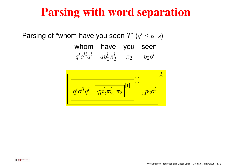## **Parsing with word separation**

Parsing of "whom have you seen ?"  $(q' \leq_{Pr} s)$ 

whom have you seen  $q'\mathit{o}^{ll}q^{l} \quad qp_{2}^{l}\pi_{2}^{l} \quad \, \pi_{2} \quad \quad p_{2}\mathit{o}^{l}$ 

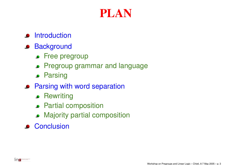#### **PLAN**

#### **Introduction**

#### **Background**

- **•** Free pregroup
- Pregroup grammar and language
- **Parsing**
- **Parsing with word separation** 
	- **•** Rewriting
	- **•** Partial composition
	- Majority partial composition
- **Conclusion**

INCREASED DESCRIPTION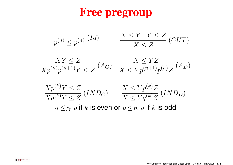## **Free pregroup**

$$
\frac{1}{p^{(n)} \le p^{(n)}} (Id) \qquad \frac{X \le Y \quad Y \le Z}{X \le Z} (CUT)
$$

$$
\frac{XY \le Z}{Xp^{(n)}p^{(n+1)}Y \le Z} \left( A_G \right) \quad \frac{X \le YZ}{X \le Yp^{(n+1)}p^{(n)}Z} \left( A_D \right)
$$

$$
\frac{Xp^{(k)}Y \le Z}{Xq^{(k)}Y \le Z} (IND_G) \qquad \frac{X \le Yp^{(k)}Z}{X \le Yq^{(k)}Z} (IND_D)
$$
  
 
$$
q \le_{Pr} p \text{ if } k \text{ is even or } p \le_{Pr} q \text{ if } k \text{ is odd}
$$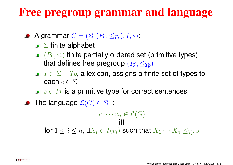## **Free pregroup grammar and language**

- A grammar  $G = (\Sigma,(Pr,\leq_{Pr}),I,s)$  :
	- $\Sigma$  finite alphabet
	- $\bullet$  ( $Pr$ ,  $\leq$ ) finite partially ordered set (primitive types) that defines free pregroup  $(T_p, \leq_{T_p})$
	- $I \subset \Sigma \times Tp$ , a lexicon, assigns a finite set of types to each  $c \in \Sigma$
	- $s \in Pr$  is a primitive type for correct sentences
- The language  $\mathcal{L}(G) \in \Sigma^+$ :

 $v_1 \cdots v_n \in \mathcal{L}(G)$ iff

for  $1\leq i\leq n,$   $\exists X_{i}\in I(v_{i})$  such that  $X_{1}\cdots X_{n}\leq_{Tp} s$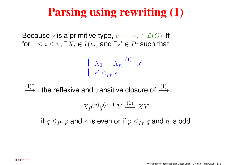## **Parsing using rewriting (1)**

Because s is a primitive type,  $v_1 \cdots v_n \in \mathcal{L}(G)$  iff for  $1\leq i\leq n,$   $\exists X_{i}\in I(v_{i})$  and  $\exists s^{\prime}\in Pr$  such that:

$$
\begin{cases} X_1 \cdots X_n \xrightarrow{(1)^*} s' \\ s' \leq_{Pr} s \end{cases}
$$

 $(1)^*$  $\xrightarrow{(1)^*}$  : the reflexive and transitive closure of  $\xrightarrow{(1)}$ :

$$
X p^{(n)} q^{(n+1)} Y \xrightarrow{(1)} XY
$$

if  $q\leq_{Pr} p$  and  $n$  is even or if  $p\leq_{Pr} q$  and  $n$  is odd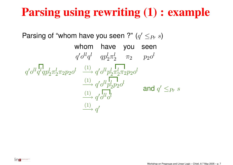## **Parsing using rewriting (1) : example**

Parsing of "whom have you seen ?"  $(q' \leq_{Pr} s)$ whom have you seen  $q'\mathit{o}^{ll}q^{l} \quad qp_{2}^{l}\pi_{2}^{l} \quad \, \pi_{2} \quad \quad p_{2}\mathit{o}^{l}$  $q'o^{ll}q^lq^lq^lq^l\pi_2^l\pi_2^1p^lq^l \xrightarrow{(1)} q'o^{ll}p^l_2\pi_2^l\pi_2^1p^lq^l$  $(1)$ −→ $\stackrel{\scriptscriptstyle 1)}{\rightarrow} q' o^{ll} p_2^l p_2^{\scriptscriptstyle 1} o^l$  $(1)$  $\longrightarrow q'$ <sup> $ll$ </sup> $o$ <sup> $ll$ </sup> $o$ <sup> $ll$ </sup> $o$ <sup> $l$ </sup>  $(1)$  $\longrightarrow q'$ and  $q' <_{P_r} s$ 

ina **Experimental**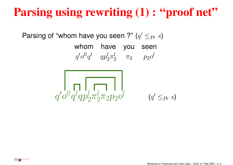# **Parsing using rewriting (1) : "proof net"**

Parsing of "whom have you seen ?"  $(q' \leq_{Pr} s)$ 

whom have you seen

 $q'\mathit{o}^{ll}q^{l} \quad qp_{2}^{l}\pi_{2}^{l} \quad \, \pi_{2} \quad \quad p_{2}\mathit{o}^{l}$ 

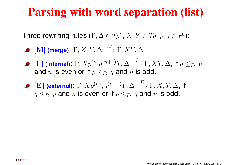#### **Parsing with word separation (list)**

Three rewriting rules  $(\Gamma, \Delta \in Tp^*, X, Y \in Tp, p, q \in Pr)$ :

- **•** [M] (merge):  $\Gamma$ , X, Y,  $\Delta \xrightarrow{M} \Gamma$ , XY,  $\Delta$ .
- **•** [I ] (internal):  $\Gamma$ ,  $Xp^{(n)}q^{(n+1)}Y$ ,  $\Delta \longrightarrow \Gamma$ ,  $XY$ ,  $\Delta$ , if  $q \leq_{Pr} p$ and  $n$  is even or if  $p\leq_{Pr} q$  and  $n$  is odd.
- **•** [E] (external):  $\Gamma$ ,  $Xp^{(n)}$ ,  $q^{(n+1)}Y$ ,  $\Delta \stackrel{E}{\longrightarrow} \Gamma$ ,  $X$ ,  $Y$ ,  $\Delta$ , if  $q \leq_{Pr} p$  and n is even or if  $p \leq_{Pr} q$  and n is odd.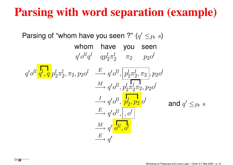## **Parsing with word separation (example)**

Parsing of "whom have you seen ?"  $(q' \leq_{Pr} s)$ whom have you seen  $q'\mathit{o}^{ll}q^{l} \quad qp_{2}^{l}\pi_{2}^{l} \quad \, \pi_{2} \quad \quad p_{2}\mathit{o}^{l}$  $q'\mathit{o}^{ll} \frac{\textbf{I}_l}{q}, \frac{\textbf{I}}{q} p_2^l \pi_2^l, \pi_2, p_2 \mathit{o}^l \quad \stackrel{E}{\longrightarrow} q' \mathit{o}^{ll}, \left| \mathit{p}_2^l \pi_2^l, \pi_2 \right|, p_2 \mathit{o}^l$  $\stackrel{M}{\longrightarrow}$  $\stackrel{\vee\!L}{\longrightarrow} q'o^{ll}, p_2^l\pi^l_2\pi_2, p_2o^{ll}$  $\stackrel{I}{\longrightarrow}$  $\stackrel{I}{\longrightarrow} q'o^{ll}, \frac{p_l^l}{p_2^l}, \frac{p_2}{p_2}o^l$  $\stackrel{E}{\longrightarrow} q' o^{ll}, \big| \, , o^{l}$  $\stackrel{M}{\longrightarrow} q' \stackrel{!}{\rightarrow} l l l, o^l$  $\xrightarrow{E} q'$ and  $q' <_{Pr} s$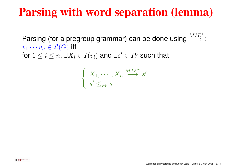## **Parsing with word separation (lemma)**

Parsing (for a pregroup grammar) can be done using  $\frac{MIE^*}{\longrightarrow}$ :  $v_1 \cdots v_n \in \mathcal{L}(G)$  iff for  $1\leq i\leq n,$   $\exists X_{i}\in I(v_{i})$  and  $\exists s^{\prime}\in Pr$  such that:

$$
\begin{cases} X_1, \cdots, X_n \stackrel{MIE^*}{\longrightarrow} s' \\ s' \leq_{Pr} s \end{cases}
$$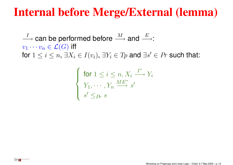#### **Internal before Merge/External (lemma)**

 $\stackrel{I}{\longrightarrow}$  can be performed before  $\stackrel{M}{\longrightarrow}$  and  $\stackrel{E}{\longrightarrow}$ :  $v_1 \cdots v_n \in \mathcal{L}(G)$  iff for  $1\leq i\leq n,$   $\exists X_{i}\in I(v_{i}),$   $\exists Y_{i}\in Tp$  and  $\exists s^{\prime}\in Pr$  such that:

$$
\begin{cases} \text{ for } 1 \leq i \leq n, X_i \xrightarrow{I^*} Y_i \\ Y_1, \cdots, Y_n \xrightarrow{M E^*} s' \\ s' \leq_{Pr} s \end{cases}
$$

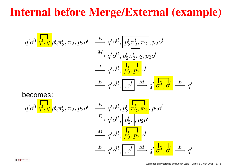## **Internal before Merge/External (example)**

$$
q' o^{ll} \frac{\sqrt{q'} q'}{q', q} p_2^l \pi_2^l, \pi_2, p_2 o^l \xrightarrow{E} q' o^{ll}, \boxed{p_2^l \pi_2^l, \pi_2}, p_2 o^l
$$
  
\n
$$
\xrightarrow{M} q' o^{ll}, p_2^l \frac{\sqrt{q'}}{q' \pi_2^l, \pi_2}, p_2 o^l
$$
  
\n
$$
\xrightarrow{I} q' o^{ll}, \boxed{p_2^l, p_2^l} o^l
$$
  
\n
$$
\xrightarrow{E} q' o^{ll}, \boxed{o^l} \xrightarrow{M} q' \frac{\sqrt{q''}}{o^{ll}, o^l} \xrightarrow{E} q'
$$
  
\nbecomes:  
\n
$$
q' o^{ll} \frac{\sqrt{q'}}{q', q} p_2^l \pi_2^l, \pi_2, p_2 o^l \xrightarrow{E} q' o^{ll}, p_2^l \frac{\sqrt{q'}}{q_2^l, \pi_2}, p_2 o^l
$$
  
\n
$$
\xrightarrow{M} q' o^{ll}, \boxed{p_2^l, p_2^l, p_2^l}
$$
  
\n
$$
\xrightarrow{M} q' o^{ll}, \boxed{p_2^l, p_2^l, p_2^l}
$$
  
\n
$$
\xrightarrow{E} q' o^{ll}, \boxed{o^l} \xrightarrow{M} q' \frac{\sqrt{q''}}{o^{ll}, o^l} \xrightarrow{E} q'
$$

lin<del>a r</del>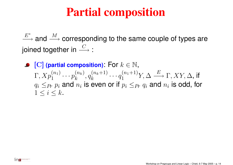#### **Partial composition**

 $E^\ast$  $\stackrel{E^*}{\longrightarrow}$  and  $\stackrel{M}{\longrightarrow}$  corresponding to the same couple of types are joined together in  $\stackrel{C}{\longrightarrow}$  :

[C] **(partial composition)**: For k <sup>∈</sup> N,  $\Gamma, Xp_1^{(n_1)}\cdots p_k^{(n_k)}, q_k^{(n_k+1)}\cdots q_1^{(n_1+1)}Y, \Delta\stackrel{E}{\longrightarrow} \Gamma, XY, \Delta,$  if  $q_i \leq_{Pr} p_i$  and  $n_i$  is even or if  $p_i \leq_{Pr} q_i$  and  $n_i$  is odd, for  $1\leq i\leq k$ .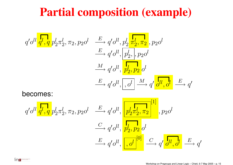#### **Partial composition (example)**

$$
q' o^{ll} \frac{\prod_{l=1}^{n} p_l}{q', q} p_2^l \pi_2^l, \pi_2, p_2 o^l \xrightarrow{E} q' o^{ll}, p_2^l \frac{\prod_{l=1}^{n} p_l}{p_2^l, p_2 o^l}
$$
\n
$$
\xrightarrow{M} q' o^{ll}, \frac{\prod_{l=1}^{n} p_l}{p_2^l, p_2} o^l
$$
\n
$$
\xrightarrow{E} q' o^{ll}, \frac{\prod_{l=1}^{n} q'}{\prod_{l=1}^{n} q'} \xrightarrow{E} q'
$$
\nbecomes:

$$
q' o^{ll} \frac{\sqrt{q' \cdot q}}{q', q} p_2^l \pi_2^l, \pi_2, p_2 o^l \xrightarrow{E} q' o^{ll}, \frac{\sqrt{q \cdot q \cdot q}}{p_2^l \pi_2^l, \pi_2} \pi_2^{l'}, p_2 o^l
$$

$$
\xrightarrow{C} q' o^{ll}, \frac{\sqrt{q \cdot q \cdot q}}{q', o^{ll}}, \frac{\sqrt{q \cdot q \cdot q}}{q'} \xrightarrow{C} q' \frac{\sqrt{q \cdot q \cdot q}}{q', o^{ll}}, \frac{E}{q'} \xrightarrow{q'}
$$

Inc. **Experimental Contract Contract Contract**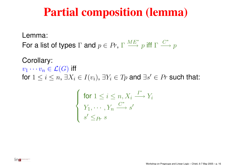#### **Partial composition (lemma)**

Lemma:

For a list of types  $\Gamma$  and  $p \in Pr$ ,  $\Gamma \xrightarrow{ME^*} p$  iff  $\Gamma \xrightarrow{C^*} p$ 

Corollary:  $v_1 \cdots v_n \in \mathcal{L}(G)$  iff for  $1\leq i\leq n,$   $\exists X_{i}\in I(v_{i}),$   $\exists Y_{i}\in Tp$  and  $\exists s^{\prime}\in Pr$  such that:

$$
\begin{cases} \text{ for } 1 \leq i \leq n, X_i \xrightarrow{I^*} Y_i \\ Y_1, \cdots, Y_n \xrightarrow{C^*} s' \\ s' \leq_{Pr} s \end{cases}
$$

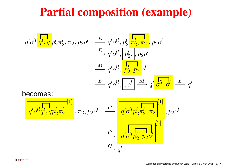#### **Partial composition (example)**

$$
q' o^{ll} \frac{\sqrt{q'} q' \sqrt{q}}{q' \sqrt{q'} q} \frac{p_2^l \pi_2^l}{p_2^l \pi_2^l} \pi_2, p_2 o^l \xrightarrow{\qquad E} q' o^{ll}, \frac{p_2^l \frac{\sqrt{q'}}{q} \pi_2^l, p_2 o^l}{\qquad \qquad \xrightarrow{\qquad H} q' o^{ll}, \frac{p_2^l, p_2 o^l}{p_2^l, p_2} o^l \xrightarrow{\qquad E} q' o^{ll}, \frac{p_2^l \sqrt{q'}}{q'} \frac{\sqrt{q'}}{q'} \frac{\sqrt{q'}}{q'} \frac{\sqrt{q'}}{q' \sqrt{q'} q' \pi_2^l \pi_2^l} \pi_2^{[1]}, \pi_2, p_2 o^l \xrightarrow{\qquad C} \frac{\sqrt{q'} o^{ll} p_2^l \pi_2^l, \pi_2}{\sqrt{q'} o^{ll} p_2^l \pi_2^l, \pi_2} \pi_2^{[1]}, p_2 o^l \xrightarrow{\qquad \qquad Q' \frac{\sqrt{q'}}{q'} \frac{\sqrt{q'}}{q'} \frac{\sqrt{q'}}{q'} \pi_2^l} \pi_2^{[1]}, p_2 o^l \xrightarrow{\qquad \qquad Q' \frac{\sqrt{q'}}{q'} \frac{\sqrt{q'}}{q'} \frac{\sqrt{q'}}{q'} \pi_2^l} \pi_2^{[1]}, p_2 o^l \xrightarrow{\qquad \qquad Q' \frac{\sqrt{q'}}{q'} \frac{\sqrt{q'}}{q'} \frac{\sqrt{q'}}{q'} \pi_2^l} \pi_2^{[1]}, p_2 o^l \xrightarrow{\qquad \qquad Q' \frac{\sqrt{q'}}{q'} \frac{\sqrt{q'}}{q'} \frac{\sqrt{q'}}{q'} \frac{\sqrt{q'}}{q'} \pi_2^{[1]}, p_2 o^l \xrightarrow{\qquad \qquad Q' \frac{\sqrt{q'}}{q'} \frac{\sqrt{q'}}{q'} \frac{\sqrt{q'}}{q'} \pi_2^{[1]}, p_2 o^l \xrightarrow{\qquad \qquad Q' \frac{\sqrt{q'}}{q'} \frac{\sqrt{q'}}{q'} \frac{\sqrt{q'}}{q'} \pi_2^{[1]}, q_2 o^l \xrightarrow{\qquad \qquad Q' \frac{\sqrt{q'}}{q'} \frac{\sqrt{q'}}{q'} \frac{\sqrt{q'}}{q'} \pi_2^{[1]}, q_2 o^l \xrightarrow{\q
$$

 $\stackrel{C}{\longrightarrow}$ 

lina-

 $\stackrel{C}{\longrightarrow} q'$ 

 $\longrightarrow q^{\prime}\textcolor{blue}{o^{ll}p_2^l}, p_2^{\prime}\textcolor{blue}{o^{ll}}$ 

[2]

Workshop on Pregroups and Linear Logic – Chieti, 6-7 May 2005 – p. 17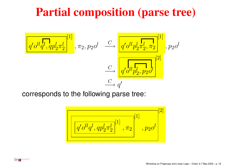## **Partial composition (parse tree)**



corresponds to the following parse tree:

$$
\left[\frac{\boxed{q' o^{l} q^{l}, q p_2^{l} \pi_2^{l}}^{[1]} }{q' o^{l} q^{l}, q p_2^{l} \pi_2^{l}}^{[1]} , \pi_2\right]^{[2]}, p_2 o^{l}
$$

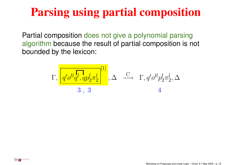## **Parsing using partial composition**

Partial composition does not give <sup>a</sup> polynomial parsing algorithm because the result of partial composition is not bounded by the lexicon:

$$
\Gamma, \frac{\boxed{q'b^{ll}q^l, qp_2^l\pi_2^l}}{3\ ,\ 3}^{\begin{bmatrix}1\end{bmatrix}}, \Delta \quad \xrightarrow{C} \quad \Gamma, q'b^{ll}p_2^l\pi_2^l, \Delta
$$

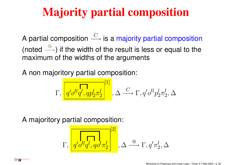# **Majority partial composition**

A partial composition  $\stackrel{C}{\longrightarrow}$  is a majority partial composition (noted  $\overset{\textcircled}{\longrightarrow}$ ) if the width of the result is less or equal to the maximum of the widths of the arguments

A non majoritory partial composition:

$$
\Gamma,\boxed{q' o^{ll} q^l,q p_2^l \pi_2^l}^{[1]}, \Delta \stackrel{C}{\longrightarrow} \Gamma, q' o^{ll} p_2^l \pi_2^l, \Delta
$$

A majoritory partial composition:

$$
\Gamma, \left[\frac{\sqrt{q'}\rho^{ll}q^l,qo^l\pi_2^l}{q'o^{ll}q^l,qo^l\pi_2^l}\right], \Delta \stackrel{\textcircled{\tiny{\textcircled{\tiny \textcirc}}} }{\longrightarrow} \Gamma, q'\pi_2^l, \Delta
$$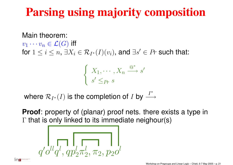## **Parsing using majority composition**

Main theorem:

 $v_1 \cdots v_n \in \mathcal{L}(G)$  iff

for  $1\leq i\leq n,$   $\exists X_{i}\in\mathcal{R}_{I^*}(I)(v_i),$  and  $\exists s'\in Pr$  such that:

$$
\begin{cases} X_1, \cdots, X_n \stackrel{\textcircled{\tiny{A}}^*}{\longrightarrow} s' \\ s' \leq_{Pr} s \end{cases}
$$

where  $\mathcal{R}_{I^*}(I)$  is the completion of I by  $\stackrel{I^*}{\longrightarrow}$ 

**Proof**: property of (planar) proof nets. there exists <sup>a</sup> type in  $\Gamma$  that is only linked to its immediate neighour(s)

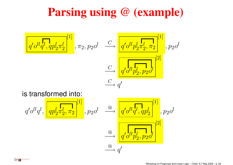#### **Parsing using @ (example)**



is transformed into:

lina<del>r</del>

$$
q' o^{ll} q^l, \underbrace{\overbrace{\left(q p_2^l \pi_2^l, \pi_2^l}^{[1]}\right)}_{\textcircled{\tiny \triangle}}, p_2 o^l \underbrace{\xrightarrow{\textcircled{\tiny \triangleleft}}}_{\textcircled{\tiny \triangleleft}} \underbrace{\overbrace{\left(q' o^{ll} q^l, qp_2^l\right)}^{[1]}}_{\textcircled{\tiny \triangleleft}} , p_2 o^l
$$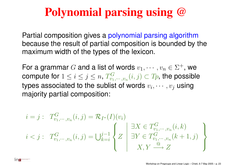## **Polynomial parsing using @**

Partial composition gives <sup>a</sup> polynomial parsing algorithm because the result of partial composition is bounded by the maximum width of the types of the lexicon.

For a grammar G and a list of words  $v_1, \dots, v_n \in \Sigma^+$ , we compute for  $1 \leq i \leq j \leq n$ ,  $T_{v_1,\dots,v_n}^G(i,j) \subset T_p$ , the possible types associated to the sublist of words  $v_i, \dots, v_j$  using majority partial composition:

$$
i = j: T_{v_1, \dots, v_n}^G(i, j) = \mathcal{R}_{I^*}(I)(v_i)
$$
  

$$
i < j: T_{v_1, \dots, v_n}^G(i, j) = \bigcup_{k=i}^{j-1} \left\{ Z \mid \exists X \in T_{v_1, \dots, v_n}^G(i, k) \atop \exists Y \in T_{v_1, \dots, v_n}^G(k+1, j) \right\}
$$

ina **Experimental**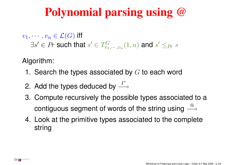## **Polynomial parsing using @**

 $v_1, \cdots, v_n \in \mathcal{L}(G)$  iff  $\exists s' \in Pr$  such that  $s' \in T_{v_1,\cdots,v_n}^G(1,n)$  and  $s' \leq_{Pr} s$ 

Algorithm:

lina.

- 1. Search the types associated by  $G$  to each word
- 2. Add the types deduced by  $\stackrel{I^*}{\longrightarrow}$
- 3. Compute recursively the possible types associated to <sup>a</sup> contiguous segment of words of the string using  $\stackrel{\textcircled{\textrm{Q}}}{\longrightarrow}$
- 4. Look at the primitive types associated to the complete string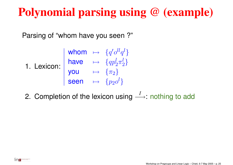Parsing of "whom have you seen ?"

1. Lexicon: whom  $\mapsto$   $\{q'o^{ll}q^{l}\}$ <br>
have  $\mapsto$   $\{qp_2^{l}\pi_2^{l}\}$ <br>
you  $\mapsto$   $\{\pi_2\}$ <br>
seen  $\mapsto$   $\{p_2o^{l}\}$ 

2. Completion of the lexicon using  $\stackrel{I}{\longrightarrow}$ : nothing to add

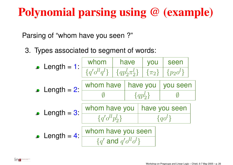Parsing of "whom have you seen ?"

lin<del>ar</del>

3. Types associated to segment of words:

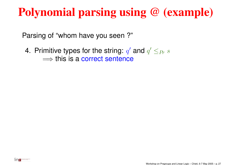Parsing of "whom have you seen ?"

4. Primitive types for the string:  $q'$  and  $q' \leq_{Pr} s$  $\Longrightarrow$  this is a correct sentence

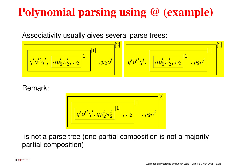Associativity usually gives several parse trees:

<sup>q</sup><sup>0</sup>ollql, qpl2πl2, <sup>π</sup><sup>2</sup> [1] [1] , <sup>p</sup>2o<sup>l</sup> [2] <sup>q</sup><sup>0</sup>ollql, qpl2πl2, <sup>π</sup><sup>2</sup> [1] , <sup>p</sup>2o<sup>l</sup> [1] [2]

#### Remark:

$$
\left[\frac{\sqrt{q' o^{l l} q^{l}, q p_2^l \pi_2^{l}}^{[1]}}{\sqrt{q' o^{l l} q^{l}, q p_2^l \pi_2^{l}}^{[1]}}, \pi_2\right]^{[2]}\right]
$$

is not <sup>a</sup> parse tree (one partial composition is not <sup>a</sup> majority partial composition)